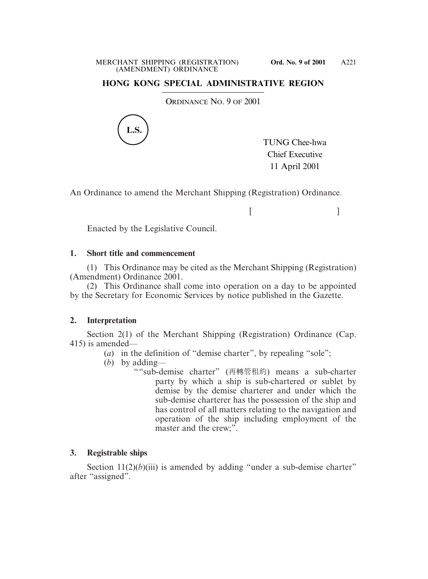# **HONG KONG SPECIAL ADMINISTRATIVE REGION**

ORDINANCE NO. 9 OF 2001



TUNG Chee-hwa Chief Executive 11 April 2001

 $[$   $]$ 

An Ordinance to amend the Merchant Shipping (Registration) Ordinance.

Enacted by the Legislative Council.

#### **1. Short title and commencement**

(1) This Ordinance may be cited as the Merchant Shipping (Registration) (Amendment) Ordinance 2001.

(2) This Ordinance shall come into operation on a day to be appointed by the Secretary for Economic Services by notice published in the Gazette.

# **2. Interpretation**

Section 2(1) of the Merchant Shipping (Registration) Ordinance (Cap. 415) is amended—

- (*a*) in the definition of "demise charter", by repealing "sole";
- (*b*) by adding—
	- ""sub-demise charter" (再轉管租約) means a sub-charter party by which a ship is sub-chartered or sublet by demise by the demise charterer and under which the sub-demise charterer has the possession of the ship and has control of all matters relating to the navigation and operation of the ship including employment of the master and the crew;".

# **3. Registrable ships**

Section  $11(2)(b)(iii)$  is amended by adding "under a sub-demise charter" after "assigned".